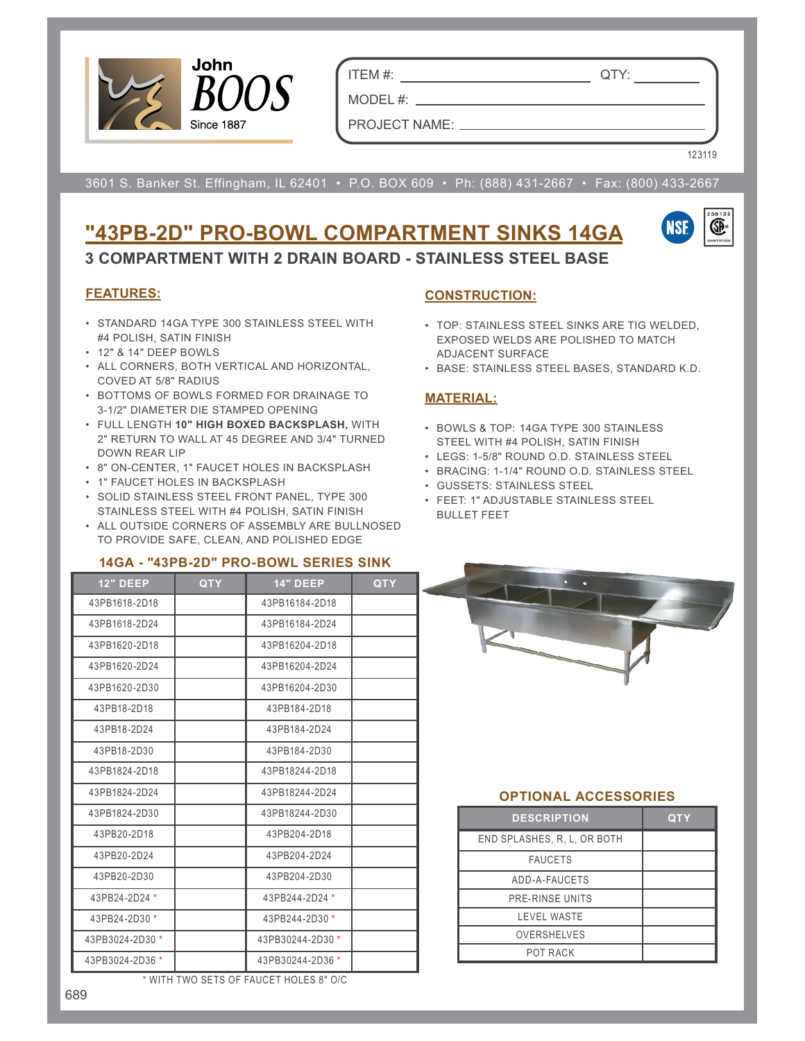

ITEM #: QTY:

PROJECT NAME:

MODEL #: \_\_

123119

3601 S. Banker St. Effingham, IL 62401 • P.O. BOX 609 • Ph: (888) 431-2667 • Fax: (800) 433-2667

# **"43PB-2D" PRO-BOWL COMPARTMENT SINKS 14GA**



**3 COMPARTMENT WITH 2 DRAIN BOARD - STAINLESS STEEL BASE**

#### **FEATURES:**

- STANDARD 14GA TYPE 300 STAINLESS STEEL WITH #4 POLISH, SATIN FINISH
- 12" & 14" DEEP BOWLS
- ALL CORNERS, BOTH VERTICAL AND HORIZONTAL, COVED AT 5/8" RADIUS
- BOTTOMS OF BOWLS FORMED FOR DRAINAGE TO 3-1/2" DIAMETER DIE STAMPED OPENING
- FULL LENGTH **10" HIGH BOXED BACKSPLASH,** WITH 2" RETURN TO WALL AT 45 DEGREE AND 3/4" TURNED DOWN REAR LIP
- 8" ON-CENTER, 1" FAUCET HOLES IN BACKSPLASH
- 1" FAUCET HOLES IN BACKSPLASH
- SOLID STAINLESS STEEL FRONT PANEL, TYPE 300 STAINLESS STEEL WITH #4 POLISH, SATIN FINISH
- ALL OUTSIDE CORNERS OF ASSEMBLY ARE BULLNOSED TO PROVIDE SAFE, CLEAN, AND POLISHED EDGE

#### **14GA - "43PB-2D" PRO-BOWL SERIES SINK**

|                 |            | 14GA - 43PB-ZD PRO-BOWL SERIES SINN |            |
|-----------------|------------|-------------------------------------|------------|
| <b>12" DEEP</b> | <b>QTY</b> | <b>14" DEEP</b>                     | <b>QTY</b> |
| 43PB1618-2D18   |            | 43PB16184-2D18                      |            |
| 43PB1618-2D24   |            | 43PB16184-2D24                      |            |
| 43PB1620-2D18   |            | 43PB16204-2D18                      |            |
| 43PB1620-2D24   |            | 43PB16204-2D24                      |            |
| 43PB1620-2D30   |            | 43PB16204-2D30                      |            |
| 43PB18-2D18     |            | 43PB184-2D18                        |            |
| 43PB18-2D24     |            | 43PB184-2D24                        |            |
| 43PB18-2D30     |            | 43PB184-2D30                        |            |
| 43PB1824-2D18   |            | 43PB18244-2D18                      |            |
| 43PB1824-2D24   |            | 43PB18244-2D24                      |            |
| 43PB1824-2D30   |            | 43PB18244-2D30                      |            |
| 43PB20-2D18     |            | 43PB204-2D18                        |            |
| 43PB20-2D24     |            | 43PB204-2D24                        |            |
| 43PB20-2D30     |            | 43PB204-2D30                        |            |
| 43PB24-2D24 *   |            | 43PB244-2D24 *                      |            |
| 43PB24-2D30 *   |            | 43PB244-2D30 *                      |            |
| 43PB3024-2D30 * |            | 43PB30244-2D30 *                    |            |
| 43PB3024-2D36 * |            | 43PB30244-2D36 *                    |            |

\* WITH TWO SETS OF FAUCET HOLES 8" O/C

#### **CONSTRUCTION:**

- TOP: STAINLESS STEEL SINKS ARE TIG WELDED, EXPOSED WELDS ARE POLISHED TO MATCH ADJACENT SURFACE
- BASE: STAINLESS STEEL BASES, STANDARD K.D.

#### **MATERIAL:**

- BOWLS & TOP: 14GA TYPE 300 STAINLESS STEEL WITH #4 POLISH, SATIN FINISH
- LEGS: 1-5/8" ROUND O.D. STAINLESS STEEL
- BRACING: 1-1/4" ROUND O.D. STAINLESS STEEL
- GUSSETS: STAINLESS STEEL
- FEET: 1" ADJUSTABLE STAINLESS STEEL BULLET FEET



### **OPTIONAL ACCESSORIES**

| <b>DESCRIPTION</b>          | QTY |
|-----------------------------|-----|
| END SPLASHES, R. L. OR BOTH |     |
| <b>FAUCETS</b>              |     |
| ADD-A-FAUCETS               |     |
| PRE-RINSE UNITS             |     |
| <b>LEVEL WASTE</b>          |     |
| <b>OVERSHELVES</b>          |     |
| POT RACK                    |     |